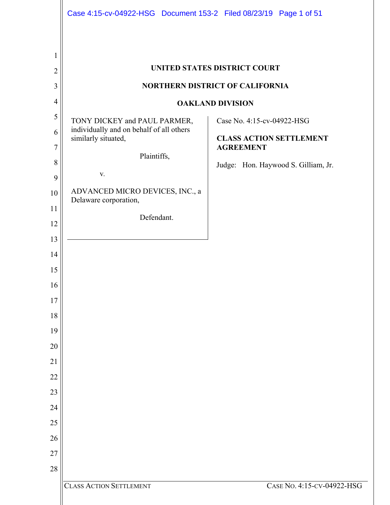|                | Case 4:15-cv-04922-HSG  Document 153-2  Filed 08/23/19  Page 1 of 51 |                                        |
|----------------|----------------------------------------------------------------------|----------------------------------------|
|                |                                                                      |                                        |
| $\mathbf{1}$   |                                                                      |                                        |
| $\overline{2}$ |                                                                      | UNITED STATES DISTRICT COURT           |
| 3              |                                                                      | <b>NORTHERN DISTRICT OF CALIFORNIA</b> |
| $\overline{4}$ | <b>OAKLAND DIVISION</b>                                              |                                        |
| 5              | TONY DICKEY and PAUL PARMER,                                         | Case No. 4:15-cv-04922-HSG             |
| 6              | individually and on behalf of all others<br>similarly situated,      | <b>CLASS ACTION SETTLEMENT</b>         |
| $\overline{7}$ |                                                                      | <b>AGREEMENT</b>                       |
| 8              | Plaintiffs,                                                          | Judge: Hon. Haywood S. Gilliam, Jr.    |
| 9              | $\mathbf{V}.$                                                        |                                        |
| 10             | ADVANCED MICRO DEVICES, INC., a<br>Delaware corporation,             |                                        |
| 11             | Defendant.                                                           |                                        |
| 12             |                                                                      |                                        |
| 13             |                                                                      |                                        |
| 14             |                                                                      |                                        |
| 15<br>16       |                                                                      |                                        |
| 17             |                                                                      |                                        |
| 18             |                                                                      |                                        |
| 19             |                                                                      |                                        |
| 20             |                                                                      |                                        |
| 21             |                                                                      |                                        |
| 22             |                                                                      |                                        |
| 23             |                                                                      |                                        |
| 24             |                                                                      |                                        |
| 25             |                                                                      |                                        |
| 26             |                                                                      |                                        |
| 27             |                                                                      |                                        |
| 28             |                                                                      |                                        |
|                | <b>CLASS ACTION SETTLEMENT</b>                                       | CASE No. 4:15-CV-04922-HSG             |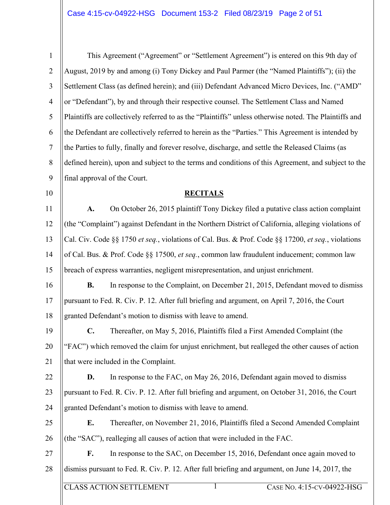| $\mathbf{1}$   | This Agreement ("Agreement" or "Settlement Agreement") is entered on this 9th day of                   |  |
|----------------|--------------------------------------------------------------------------------------------------------|--|
| $\overline{2}$ | August, 2019 by and among (i) Tony Dickey and Paul Parmer (the "Named Plaintiffs"); (ii) the           |  |
| 3              | Settlement Class (as defined herein); and (iii) Defendant Advanced Micro Devices, Inc. ("AMD"          |  |
| $\overline{4}$ | or "Defendant"), by and through their respective counsel. The Settlement Class and Named               |  |
| 5              | Plaintiffs are collectively referred to as the "Plaintiffs" unless otherwise noted. The Plaintiffs and |  |
| 6              | the Defendant are collectively referred to herein as the "Parties." This Agreement is intended by      |  |
| $\tau$         | the Parties to fully, finally and forever resolve, discharge, and settle the Released Claims (as       |  |
| 8              | defined herein), upon and subject to the terms and conditions of this Agreement, and subject to the    |  |
| 9              | final approval of the Court.                                                                           |  |
| 10             | <b>RECITALS</b>                                                                                        |  |
| 11             | On October 26, 2015 plaintiff Tony Dickey filed a putative class action complaint<br>A.                |  |
| 12             | (the "Complaint") against Defendant in the Northern District of California, alleging violations of     |  |
| 13             | Cal. Civ. Code §§ 1750 et seq., violations of Cal. Bus. & Prof. Code §§ 17200, et seq., violations     |  |
| 14             | of Cal. Bus. & Prof. Code §§ 17500, et seq., common law fraudulent inducement; common law              |  |
| 15             | breach of express warranties, negligent misrepresentation, and unjust enrichment.                      |  |
| 16             | In response to the Complaint, on December 21, 2015, Defendant moved to dismiss<br><b>B.</b>            |  |
| 17             | pursuant to Fed. R. Civ. P. 12. After full briefing and argument, on April 7, 2016, the Court          |  |
| 18             | granted Defendant's motion to dismiss with leave to amend.                                             |  |
| 19             | Thereafter, on May 5, 2016, Plaintiffs filed a First Amended Complaint (the<br>$\mathbf{C}$ .          |  |
| 20             | "FAC") which removed the claim for unjust enrichment, but realleged the other causes of action         |  |
| 21             | that were included in the Complaint.                                                                   |  |
| 22             | D.<br>In response to the FAC, on May 26, 2016, Defendant again moved to dismiss                        |  |
| 23             | pursuant to Fed. R. Civ. P. 12. After full briefing and argument, on October 31, 2016, the Court       |  |
| 24             | granted Defendant's motion to dismiss with leave to amend.                                             |  |
| 25             | E.<br>Thereafter, on November 21, 2016, Plaintiffs filed a Second Amended Complaint                    |  |
| 26             | (the "SAC"), realleging all causes of action that were included in the FAC.                            |  |
| 27             | F.<br>In response to the SAC, on December 15, 2016, Defendant once again moved to                      |  |
| 28             | dismiss pursuant to Fed. R. Civ. P. 12. After full briefing and argument, on June 14, 2017, the        |  |
|                | <b>CLASS ACTION SETTLEMENT</b><br>CASE No. 4:15-CV-04922-HSG<br>1                                      |  |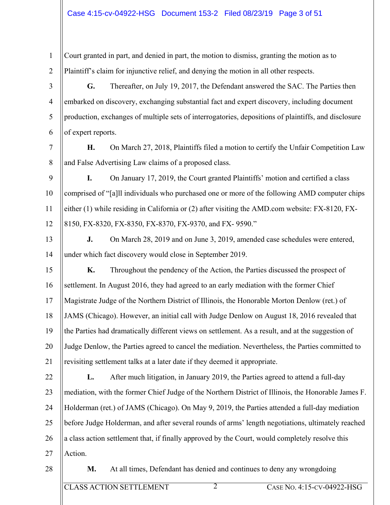1 2 Court granted in part, and denied in part, the motion to dismiss, granting the motion as to Plaintiff's claim for injunctive relief, and denying the motion in all other respects.

3 4 5 6 **G.** Thereafter, on July 19, 2017, the Defendant answered the SAC. The Parties then embarked on discovery, exchanging substantial fact and expert discovery, including document production, exchanges of multiple sets of interrogatories, depositions of plaintiffs, and disclosure of expert reports.

7 8 **H.** On March 27, 2018, Plaintiffs filed a motion to certify the Unfair Competition Law and False Advertising Law claims of a proposed class.

9 10 11 12 **I.** On January 17, 2019, the Court granted Plaintiffs' motion and certified a class comprised of "[a]ll individuals who purchased one or more of the following AMD computer chips either (1) while residing in California or (2) after visiting the AMD.com website: FX-8120, FX-8150, FX-8320, FX-8350, FX-8370, FX-9370, and FX- 9590."

13

14

**J.** On March 28, 2019 and on June 3, 2019, amended case schedules were entered, under which fact discovery would close in September 2019.

15 16 17 18 19 20 21 **K.** Throughout the pendency of the Action, the Parties discussed the prospect of settlement. In August 2016, they had agreed to an early mediation with the former Chief Magistrate Judge of the Northern District of Illinois, the Honorable Morton Denlow (ret.) of JAMS (Chicago). However, an initial call with Judge Denlow on August 18, 2016 revealed that the Parties had dramatically different views on settlement. As a result, and at the suggestion of Judge Denlow, the Parties agreed to cancel the mediation. Nevertheless, the Parties committed to revisiting settlement talks at a later date if they deemed it appropriate.

22 23 24 25 26 27 **L.** After much litigation, in January 2019, the Parties agreed to attend a full-day mediation, with the former Chief Judge of the Northern District of Illinois, the Honorable James F. Holderman (ret.) of JAMS (Chicago). On May 9, 2019, the Parties attended a full-day mediation before Judge Holderman, and after several rounds of arms' length negotiations, ultimately reached a class action settlement that, if finally approved by the Court, would completely resolve this Action.

28

**M.** At all times, Defendant has denied and continues to deny any wrongdoing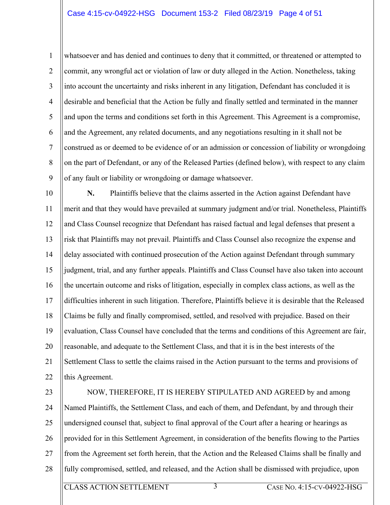1 2 3 4 5 6 7 8 9 whatsoever and has denied and continues to deny that it committed, or threatened or attempted to commit, any wrongful act or violation of law or duty alleged in the Action. Nonetheless, taking into account the uncertainty and risks inherent in any litigation, Defendant has concluded it is desirable and beneficial that the Action be fully and finally settled and terminated in the manner and upon the terms and conditions set forth in this Agreement. This Agreement is a compromise, and the Agreement, any related documents, and any negotiations resulting in it shall not be construed as or deemed to be evidence of or an admission or concession of liability or wrongdoing on the part of Defendant, or any of the Released Parties (defined below), with respect to any claim of any fault or liability or wrongdoing or damage whatsoever.

10 11 12 13 14 15 16 17 18 19 20 21 22 **N.** Plaintiffs believe that the claims asserted in the Action against Defendant have merit and that they would have prevailed at summary judgment and/or trial. Nonetheless, Plaintiffs and Class Counsel recognize that Defendant has raised factual and legal defenses that present a risk that Plaintiffs may not prevail. Plaintiffs and Class Counsel also recognize the expense and delay associated with continued prosecution of the Action against Defendant through summary judgment, trial, and any further appeals. Plaintiffs and Class Counsel have also taken into account the uncertain outcome and risks of litigation, especially in complex class actions, as well as the difficulties inherent in such litigation. Therefore, Plaintiffs believe it is desirable that the Released Claims be fully and finally compromised, settled, and resolved with prejudice. Based on their evaluation, Class Counsel have concluded that the terms and conditions of this Agreement are fair, reasonable, and adequate to the Settlement Class, and that it is in the best interests of the Settlement Class to settle the claims raised in the Action pursuant to the terms and provisions of this Agreement.

23

24 25 26 27 28 NOW, THEREFORE, IT IS HEREBY STIPULATED AND AGREED by and among Named Plaintiffs, the Settlement Class, and each of them, and Defendant, by and through their undersigned counsel that, subject to final approval of the Court after a hearing or hearings as provided for in this Settlement Agreement, in consideration of the benefits flowing to the Parties from the Agreement set forth herein, that the Action and the Released Claims shall be finally and fully compromised, settled, and released, and the Action shall be dismissed with prejudice, upon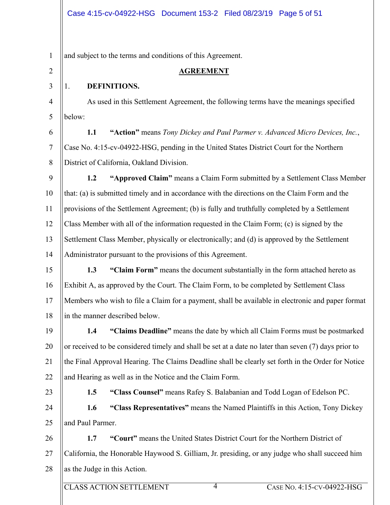1 and subject to the terms and conditions of this Agreement.

## 2

3

#### **AGREEMENT**

#### 1. **DEFINITIONS.**

4 5 As used in this Settlement Agreement, the following terms have the meanings specified below:

6 7 8 **1.1 "Action"** means *Tony Dickey and Paul Parmer v. Advanced Micro Devices, Inc.*, Case No. 4:15-cv-04922-HSG, pending in the United States District Court for the Northern District of California, Oakland Division.

9 10 11 12 13 14 **1.2 "Approved Claim"** means a Claim Form submitted by a Settlement Class Member that: (a) is submitted timely and in accordance with the directions on the Claim Form and the provisions of the Settlement Agreement; (b) is fully and truthfully completed by a Settlement Class Member with all of the information requested in the Claim Form; (c) is signed by the Settlement Class Member, physically or electronically; and (d) is approved by the Settlement Administrator pursuant to the provisions of this Agreement.

15 16 17 18 **1.3 "Claim Form"** means the document substantially in the form attached hereto as Exhibit A, as approved by the Court. The Claim Form, to be completed by Settlement Class Members who wish to file a Claim for a payment, shall be available in electronic and paper format in the manner described below.

19 20 21 22 **1.4 "Claims Deadline"** means the date by which all Claim Forms must be postmarked or received to be considered timely and shall be set at a date no later than seven (7) days prior to the Final Approval Hearing. The Claims Deadline shall be clearly set forth in the Order for Notice and Hearing as well as in the Notice and the Claim Form.

23

**1.5 "Class Counsel"** means Rafey S. Balabanian and Todd Logan of Edelson PC.

24 25 **1.6 "Class Representatives"** means the Named Plaintiffs in this Action, Tony Dickey and Paul Parmer.

26 27 28 **1.7 "Court"** means the United States District Court for the Northern District of California, the Honorable Haywood S. Gilliam, Jr. presiding, or any judge who shall succeed him as the Judge in this Action.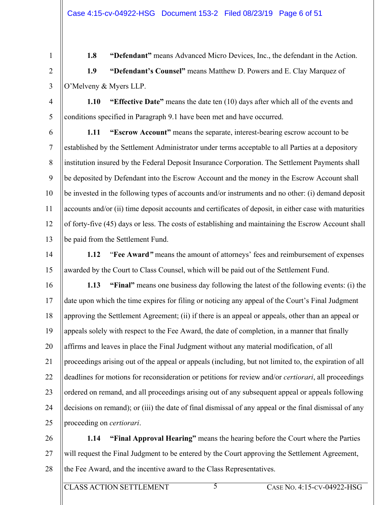1 2

3

**1.8 "Defendant"** means Advanced Micro Devices, Inc., the defendant in the Action.

**1.9 "Defendant's Counsel"** means Matthew D. Powers and E. Clay Marquez of O'Melveny & Myers LLP.

4

5

**1.10 "Effective Date"** means the date ten (10) days after which all of the events and conditions specified in Paragraph 9.1 have been met and have occurred.

6 7 8 9 10 11 12 13 **1.11 "Escrow Account"** means the separate, interest-bearing escrow account to be established by the Settlement Administrator under terms acceptable to all Parties at a depository institution insured by the Federal Deposit Insurance Corporation. The Settlement Payments shall be deposited by Defendant into the Escrow Account and the money in the Escrow Account shall be invested in the following types of accounts and/or instruments and no other: (i) demand deposit accounts and/or (ii) time deposit accounts and certificates of deposit, in either case with maturities of forty-five (45) days or less. The costs of establishing and maintaining the Escrow Account shall be paid from the Settlement Fund.

14 15 **1.12** "**Fee Award***"* means the amount of attorneys' fees and reimbursement of expenses awarded by the Court to Class Counsel, which will be paid out of the Settlement Fund.

16 17 18 19 20 21 22 23 24 25 **1.13 "Final"** means one business day following the latest of the following events: (i) the date upon which the time expires for filing or noticing any appeal of the Court's Final Judgment approving the Settlement Agreement; (ii) if there is an appeal or appeals, other than an appeal or appeals solely with respect to the Fee Award, the date of completion, in a manner that finally affirms and leaves in place the Final Judgment without any material modification, of all proceedings arising out of the appeal or appeals (including, but not limited to, the expiration of all deadlines for motions for reconsideration or petitions for review and/or *certiorari*, all proceedings ordered on remand, and all proceedings arising out of any subsequent appeal or appeals following decisions on remand); or (iii) the date of final dismissal of any appeal or the final dismissal of any proceeding on *certiorari*.

26 27 28 **1.14 "Final Approval Hearing"** means the hearing before the Court where the Parties will request the Final Judgment to be entered by the Court approving the Settlement Agreement, the Fee Award, and the incentive award to the Class Representatives.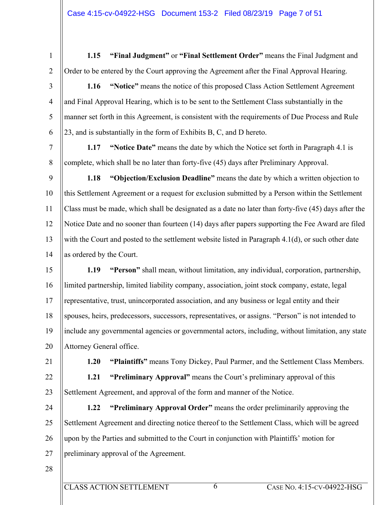1 2

**1.15 "Final Judgment"** or **"Final Settlement Order"** means the Final Judgment and Order to be entered by the Court approving the Agreement after the Final Approval Hearing.

3 4 5 6 **1.16 "Notice"** means the notice of this proposed Class Action Settlement Agreement and Final Approval Hearing, which is to be sent to the Settlement Class substantially in the manner set forth in this Agreement, is consistent with the requirements of Due Process and Rule 23, and is substantially in the form of Exhibits B, C, and D hereto.

7 8 **1.17 "Notice Date"** means the date by which the Notice set forth in Paragraph 4.1 is complete, which shall be no later than forty-five (45) days after Preliminary Approval.

9 10 11 12 13 14 **1.18 "Objection/Exclusion Deadline"** means the date by which a written objection to this Settlement Agreement or a request for exclusion submitted by a Person within the Settlement Class must be made, which shall be designated as a date no later than forty-five (45) days after the Notice Date and no sooner than fourteen (14) days after papers supporting the Fee Award are filed with the Court and posted to the settlement website listed in Paragraph 4.1(d), or such other date as ordered by the Court.

15 16 17 18 19 20 **1.19 "Person"** shall mean, without limitation, any individual, corporation, partnership, limited partnership, limited liability company, association, joint stock company, estate, legal representative, trust, unincorporated association, and any business or legal entity and their spouses, heirs, predecessors, successors, representatives, or assigns. "Person" is not intended to include any governmental agencies or governmental actors, including, without limitation, any state Attorney General office.

21

**1.20 "Plaintiffs"** means Tony Dickey, Paul Parmer, and the Settlement Class Members.

22 23 **1.21 "Preliminary Approval"** means the Court's preliminary approval of this Settlement Agreement, and approval of the form and manner of the Notice.

24 25 26 27 **1.22 "Preliminary Approval Order"** means the order preliminarily approving the Settlement Agreement and directing notice thereof to the Settlement Class, which will be agreed upon by the Parties and submitted to the Court in conjunction with Plaintiffs' motion for preliminary approval of the Agreement.

28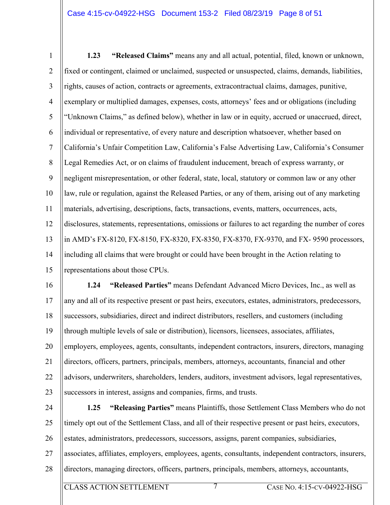1 2 3 4 5 6 7 8 9 10 11 12 13 14 15 **1.23 "Released Claims"** means any and all actual, potential, filed, known or unknown, fixed or contingent, claimed or unclaimed, suspected or unsuspected, claims, demands, liabilities, rights, causes of action, contracts or agreements, extracontractual claims, damages, punitive, exemplary or multiplied damages, expenses, costs, attorneys' fees and or obligations (including "Unknown Claims," as defined below), whether in law or in equity, accrued or unaccrued, direct, individual or representative, of every nature and description whatsoever, whether based on California's Unfair Competition Law, California's False Advertising Law, California's Consumer Legal Remedies Act, or on claims of fraudulent inducement, breach of express warranty, or negligent misrepresentation, or other federal, state, local, statutory or common law or any other law, rule or regulation, against the Released Parties, or any of them, arising out of any marketing materials, advertising, descriptions, facts, transactions, events, matters, occurrences, acts, disclosures, statements, representations, omissions or failures to act regarding the number of cores in AMD's FX-8120, FX-8150, FX-8320, FX-8350, FX-8370, FX-9370, and FX- 9590 processors, including all claims that were brought or could have been brought in the Action relating to representations about those CPUs.

16 17 18 19 20 21 22 23 **1.24 "Released Parties"** means Defendant Advanced Micro Devices, Inc., as well as any and all of its respective present or past heirs, executors, estates, administrators, predecessors, successors, subsidiaries, direct and indirect distributors, resellers, and customers (including through multiple levels of sale or distribution), licensors, licensees, associates, affiliates, employers, employees, agents, consultants, independent contractors, insurers, directors, managing directors, officers, partners, principals, members, attorneys, accountants, financial and other advisors, underwriters, shareholders, lenders, auditors, investment advisors, legal representatives, successors in interest, assigns and companies, firms, and trusts.

24 25 26 27 28 **1.25 "Releasing Parties"** means Plaintiffs, those Settlement Class Members who do not timely opt out of the Settlement Class, and all of their respective present or past heirs, executors, estates, administrators, predecessors, successors, assigns, parent companies, subsidiaries, associates, affiliates, employers, employees, agents, consultants, independent contractors, insurers, directors, managing directors, officers, partners, principals, members, attorneys, accountants,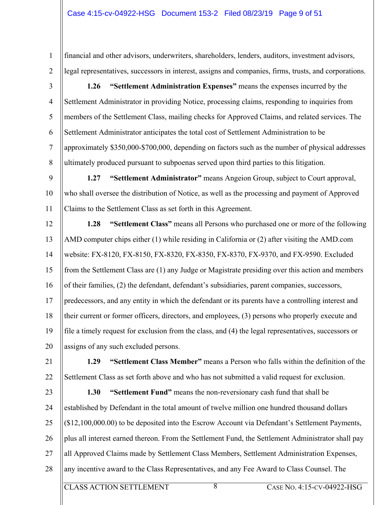financial and other advisors, underwriters, shareholders, lenders, auditors, investment advisors, legal representatives, successors in interest, assigns and companies, firms, trusts, and corporations.

3 4 5 6 7 8 **1.26 "Settlement Administration Expenses"** means the expenses incurred by the Settlement Administrator in providing Notice, processing claims, responding to inquiries from members of the Settlement Class, mailing checks for Approved Claims, and related services. The Settlement Administrator anticipates the total cost of Settlement Administration to be approximately \$350,000-\$700,000, depending on factors such as the number of physical addresses ultimately produced pursuant to subpoenas served upon third parties to this litigation.

9 10 11 **1.27 "Settlement Administrator"** means Angeion Group, subject to Court approval, who shall oversee the distribution of Notice, as well as the processing and payment of Approved Claims to the Settlement Class as set forth in this Agreement.

12 13 14 15 16 17 18 19 20 **1.28 "Settlement Class"** means all Persons who purchased one or more of the following AMD computer chips either (1) while residing in California or (2) after visiting the AMD.com website: FX-8120, FX-8150, FX-8320, FX-8350, FX-8370, FX-9370, and FX-9590. Excluded from the Settlement Class are (1) any Judge or Magistrate presiding over this action and members of their families, (2) the defendant, defendant's subsidiaries, parent companies, successors, predecessors, and any entity in which the defendant or its parents have a controlling interest and their current or former officers, directors, and employees, (3) persons who properly execute and file a timely request for exclusion from the class, and (4) the legal representatives, successors or assigns of any such excluded persons.

21 22 **1.29 "Settlement Class Member"** means a Person who falls within the definition of the Settlement Class as set forth above and who has not submitted a valid request for exclusion.

23 24 25 26 27 28 **1.30 "Settlement Fund"** means the non-reversionary cash fund that shall be established by Defendant in the total amount of twelve million one hundred thousand dollars (\$12,100,000.00) to be deposited into the Escrow Account via Defendant's Settlement Payments, plus all interest earned thereon. From the Settlement Fund, the Settlement Administrator shall pay all Approved Claims made by Settlement Class Members, Settlement Administration Expenses, any incentive award to the Class Representatives, and any Fee Award to Class Counsel. The

1

2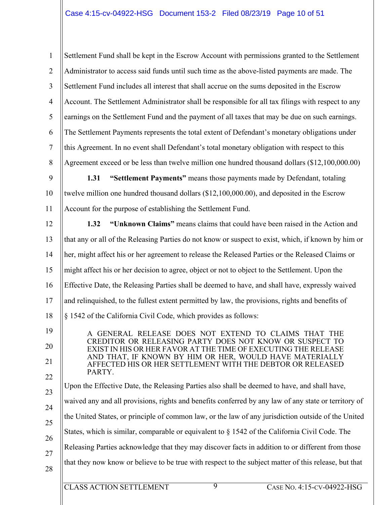1 2 3 4 5 6 7 8 Settlement Fund shall be kept in the Escrow Account with permissions granted to the Settlement Administrator to access said funds until such time as the above-listed payments are made. The Settlement Fund includes all interest that shall accrue on the sums deposited in the Escrow Account. The Settlement Administrator shall be responsible for all tax filings with respect to any earnings on the Settlement Fund and the payment of all taxes that may be due on such earnings. The Settlement Payments represents the total extent of Defendant's monetary obligations under this Agreement. In no event shall Defendant's total monetary obligation with respect to this Agreement exceed or be less than twelve million one hundred thousand dollars (\$12,100,000.00)

9 10 11 **1.31 "Settlement Payments"** means those payments made by Defendant, totaling twelve million one hundred thousand dollars (\$12,100,000.00), and deposited in the Escrow Account for the purpose of establishing the Settlement Fund.

12 13 14 15 16 17 18 **1.32 "Unknown Claims"** means claims that could have been raised in the Action and that any or all of the Releasing Parties do not know or suspect to exist, which, if known by him or her, might affect his or her agreement to release the Released Parties or the Released Claims or might affect his or her decision to agree, object or not to object to the Settlement. Upon the Effective Date, the Releasing Parties shall be deemed to have, and shall have, expressly waived and relinquished, to the fullest extent permitted by law, the provisions, rights and benefits of § 1542 of the California Civil Code, which provides as follows:

A GENERAL RELEASE DOES NOT EXTEND TO CLAIMS THAT THE CREDITOR OR RELEASING PARTY DOES NOT KNOW OR SUSPECT TO EXIST IN HIS OR HER FAVOR AT THE TIME OF EXECUTING THE RELEASE AND THAT, IF KNOWN BY HIM OR HER, WOULD HAVE MATERIALLY AFFECTED HIS OR HER SETTLEMENT WITH THE DEBTOR OR RELEASED PARTY.

23 24 25 26 27 28 Upon the Effective Date, the Releasing Parties also shall be deemed to have, and shall have, waived any and all provisions, rights and benefits conferred by any law of any state or territory of the United States, or principle of common law, or the law of any jurisdiction outside of the United States, which is similar, comparable or equivalent to § 1542 of the California Civil Code. The Releasing Parties acknowledge that they may discover facts in addition to or different from those that they now know or believe to be true with respect to the subject matter of this release, but that

19

20

21

22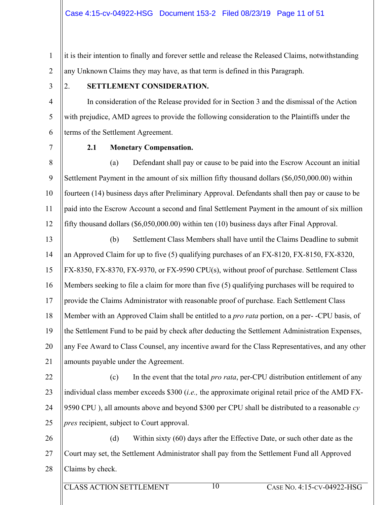1 2 it is their intention to finally and forever settle and release the Released Claims, notwithstanding any Unknown Claims they may have, as that term is defined in this Paragraph.

3

#### 2. **SETTLEMENT CONSIDERATION.**

4 5 6 In consideration of the Release provided for in Section 3 and the dismissal of the Action with prejudice, AMD agrees to provide the following consideration to the Plaintiffs under the terms of the Settlement Agreement.

7

#### **2.1 Monetary Compensation.**

8 9 10 11 12 (a) Defendant shall pay or cause to be paid into the Escrow Account an initial Settlement Payment in the amount of six million fifty thousand dollars (\$6,050,000.00) within fourteen (14) business days after Preliminary Approval. Defendants shall then pay or cause to be paid into the Escrow Account a second and final Settlement Payment in the amount of six million fifty thousand dollars (\$6,050,000.00) within ten (10) business days after Final Approval.

13 14 15 16 17 18 19 20 21 (b) Settlement Class Members shall have until the Claims Deadline to submit an Approved Claim for up to five (5) qualifying purchases of an FX-8120, FX-8150, FX-8320, FX-8350, FX-8370, FX-9370, or FX-9590 CPU(s), without proof of purchase. Settlement Class Members seeking to file a claim for more than five (5) qualifying purchases will be required to provide the Claims Administrator with reasonable proof of purchase. Each Settlement Class Member with an Approved Claim shall be entitled to a *pro rata* portion, on a per- -CPU basis, of the Settlement Fund to be paid by check after deducting the Settlement Administration Expenses, any Fee Award to Class Counsel, any incentive award for the Class Representatives, and any other amounts payable under the Agreement.

22 23 24 25 (c) In the event that the total *pro rata*, per-CPU distribution entitlement of any individual class member exceeds \$300 (*i.e.,* the approximate original retail price of the AMD FX-9590 CPU ), all amounts above and beyond \$300 per CPU shall be distributed to a reasonable *cy pres* recipient, subject to Court approval.

26 27 28 (d) Within sixty (60) days after the Effective Date, or such other date as the Court may set, the Settlement Administrator shall pay from the Settlement Fund all Approved Claims by check.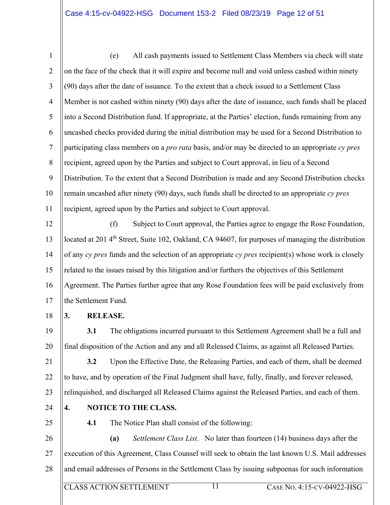| $\mathbf{1}$   | All cash payments issued to Settlement Class Members via check will state<br>(e)                               |  |
|----------------|----------------------------------------------------------------------------------------------------------------|--|
| $\overline{2}$ | on the face of the check that it will expire and become null and void unless cashed within ninety              |  |
| 3              | (90) days after the date of issuance. To the extent that a check issued to a Settlement Class                  |  |
| $\overline{4}$ | Member is not cashed within ninety (90) days after the date of issuance, such funds shall be placed            |  |
| 5              | into a Second Distribution fund. If appropriate, at the Parties' election, funds remaining from any            |  |
| 6              | uncashed checks provided during the initial distribution may be used for a Second Distribution to              |  |
| $\tau$         | participating class members on a pro rata basis, and/or may be directed to an appropriate cy pres              |  |
| 8              | recipient, agreed upon by the Parties and subject to Court approval, in lieu of a Second                       |  |
| 9              | Distribution. To the extent that a Second Distribution is made and any Second Distribution checks              |  |
| 10             | remain uncashed after ninety (90) days, such funds shall be directed to an appropriate cy pres                 |  |
| 11             | recipient, agreed upon by the Parties and subject to Court approval.                                           |  |
| 12             | (f)<br>Subject to Court approval, the Parties agree to engage the Rose Foundation,                             |  |
| 13             | located at 201 4 <sup>th</sup> Street, Suite 102, Oakland, CA 94607, for purposes of managing the distribution |  |
| 14             | of any cy pres funds and the selection of an appropriate cy pres recipient(s) whose work is closely            |  |
| 15             | related to the issues raised by this litigation and/or furthers the objectives of this Settlement              |  |
| 16             | Agreement. The Parties further agree that any Rose Foundation fees will be paid exclusively from               |  |
| 17             | the Settlement Fund.                                                                                           |  |
| 18             | <b>RELEASE.</b><br>3.                                                                                          |  |
| 19             | The obligations incurred pursuant to this Settlement Agreement shall be a full and<br>3.1                      |  |
| 20             | final disposition of the Action and any and all Released Claims, as against all Released Parties.              |  |
| 21             | 3.2<br>Upon the Effective Date, the Releasing Parties, and each of them, shall be deemed                       |  |
| 22             | to have, and by operation of the Final Judgment shall have, fully, finally, and forever released,              |  |
| 23             | relinquished, and discharged all Released Claims against the Released Parties, and each of them.               |  |
| 24             | NOTICE TO THE CLASS.<br>4.                                                                                     |  |
| 25             | The Notice Plan shall consist of the following:<br>4.1                                                         |  |
| 26             | Settlement Class List. No later than fourteen (14) business days after the<br>(a)                              |  |
| 27             | execution of this Agreement, Class Counsel will seek to obtain the last known U.S. Mail addresses              |  |
| 28             | and email addresses of Persons in the Settlement Class by issuing subpoenas for such information               |  |
|                |                                                                                                                |  |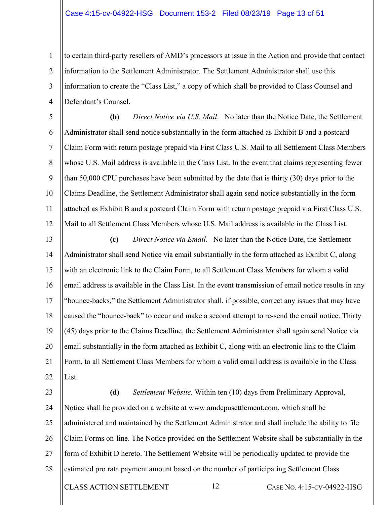1 2 3 4 to certain third-party resellers of AMD's processors at issue in the Action and provide that contact information to the Settlement Administrator. The Settlement Administrator shall use this information to create the "Class List," a copy of which shall be provided to Class Counsel and Defendant's Counsel.

5 6 7 8 9 10 11 12 **(b)** *Direct Notice via U.S. Mail*. No later than the Notice Date, the Settlement Administrator shall send notice substantially in the form attached as Exhibit B and a postcard Claim Form with return postage prepaid via First Class U.S. Mail to all Settlement Class Members whose U.S. Mail address is available in the Class List. In the event that claims representing fewer than 50,000 CPU purchases have been submitted by the date that is thirty (30) days prior to the Claims Deadline, the Settlement Administrator shall again send notice substantially in the form attached as Exhibit B and a postcard Claim Form with return postage prepaid via First Class U.S. Mail to all Settlement Class Members whose U.S. Mail address is available in the Class List.

- 13 14 15 16 17 18 19 20 21 22 **(c)** *Direct Notice via Email.* No later than the Notice Date, the Settlement Administrator shall send Notice via email substantially in the form attached as Exhibit C, along with an electronic link to the Claim Form, to all Settlement Class Members for whom a valid email address is available in the Class List. In the event transmission of email notice results in any "bounce-backs," the Settlement Administrator shall, if possible, correct any issues that may have caused the "bounce-back" to occur and make a second attempt to re-send the email notice. Thirty (45) days prior to the Claims Deadline, the Settlement Administrator shall again send Notice via email substantially in the form attached as Exhibit C, along with an electronic link to the Claim Form, to all Settlement Class Members for whom a valid email address is available in the Class List.
- 23 24 25 26 27 28 **(d)** *Settlement Website.* Within ten (10) days from Preliminary Approval, Notice shall be provided on a website at www.amdcpusettlement.com, which shall be administered and maintained by the Settlement Administrator and shall include the ability to file Claim Forms on-line. The Notice provided on the Settlement Website shall be substantially in the form of Exhibit D hereto. The Settlement Website will be periodically updated to provide the estimated pro rata payment amount based on the number of participating Settlement Class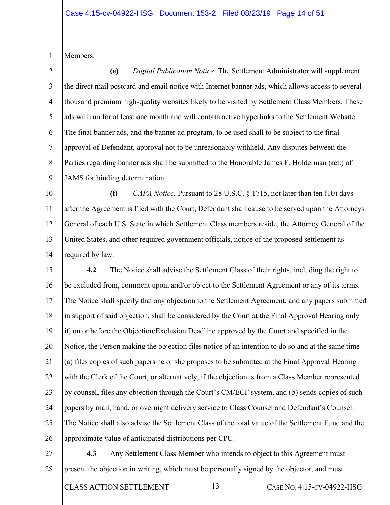1 Members.

2 3 4 5 6 7 8 9 **(e)** *Digital Publication Notice*. The Settlement Administrator will supplement the direct mail postcard and email notice with Internet banner ads, which allows access to several thousand premium high-quality websites likely to be visited by Settlement Class Members. These ads will run for at least one month and will contain active hyperlinks to the Settlement Website. The final banner ads, and the banner ad program, to be used shall to be subject to the final approval of Defendant, approval not to be unreasonably withheld. Any disputes between the Parties regarding banner ads shall be submitted to the Honorable James F. Holderman (ret.) of JAMS for binding determination.

10 11 12 13 14 **(f)** *CAFA Notice.* Pursuant to 28 U.S.C. § 1715, not later than ten (10) days after the Agreement is filed with the Court, Defendant shall cause to be served upon the Attorneys General of each U.S. State in which Settlement Class members reside, the Attorney General of the United States, and other required government officials, notice of the proposed settlement as required by law.

15 16 17 18 19 20 21 22 23 24 25 26 **4.2** The Notice shall advise the Settlement Class of their rights, including the right to be excluded from, comment upon, and/or object to the Settlement Agreement or any of its terms. The Notice shall specify that any objection to the Settlement Agreement, and any papers submitted in support of said objection, shall be considered by the Court at the Final Approval Hearing only if, on or before the Objection/Exclusion Deadline approved by the Court and specified in the Notice, the Person making the objection files notice of an intention to do so and at the same time (a) files copies of such papers he or she proposes to be submitted at the Final Approval Hearing with the Clerk of the Court, or alternatively, if the objection is from a Class Member represented by counsel, files any objection through the Court's CM/ECF system, and (b) sends copies of such papers by mail, hand, or overnight delivery service to Class Counsel and Defendant's Counsel. The Notice shall also advise the Settlement Class of the total value of the Settlement Fund and the approximate value of anticipated distributions per CPU.

27 28 **4.3** Any Settlement Class Member who intends to object to this Agreement must present the objection in writing, which must be personally signed by the objector, and must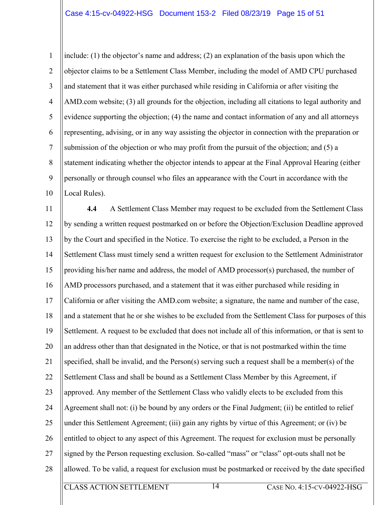1 2 3 4 5 6 7 8 9 10 include: (1) the objector's name and address; (2) an explanation of the basis upon which the objector claims to be a Settlement Class Member, including the model of AMD CPU purchased and statement that it was either purchased while residing in California or after visiting the AMD.com website; (3) all grounds for the objection, including all citations to legal authority and evidence supporting the objection; (4) the name and contact information of any and all attorneys representing, advising, or in any way assisting the objector in connection with the preparation or submission of the objection or who may profit from the pursuit of the objection; and (5) a statement indicating whether the objector intends to appear at the Final Approval Hearing (either personally or through counsel who files an appearance with the Court in accordance with the Local Rules).

11 12 13 14 15 16 17 18 19 20 21 22 23 24 25 26 27 28 **4.4** A Settlement Class Member may request to be excluded from the Settlement Class by sending a written request postmarked on or before the Objection/Exclusion Deadline approved by the Court and specified in the Notice. To exercise the right to be excluded, a Person in the Settlement Class must timely send a written request for exclusion to the Settlement Administrator providing his/her name and address, the model of AMD processor(s) purchased, the number of AMD processors purchased, and a statement that it was either purchased while residing in California or after visiting the AMD.com website; a signature, the name and number of the case, and a statement that he or she wishes to be excluded from the Settlement Class for purposes of this Settlement. A request to be excluded that does not include all of this information, or that is sent to an address other than that designated in the Notice, or that is not postmarked within the time specified, shall be invalid, and the Person(s) serving such a request shall be a member(s) of the Settlement Class and shall be bound as a Settlement Class Member by this Agreement, if approved. Any member of the Settlement Class who validly elects to be excluded from this Agreement shall not: (i) be bound by any orders or the Final Judgment; (ii) be entitled to relief under this Settlement Agreement; (iii) gain any rights by virtue of this Agreement; or (iv) be entitled to object to any aspect of this Agreement. The request for exclusion must be personally signed by the Person requesting exclusion. So-called "mass" or "class" opt-outs shall not be allowed. To be valid, a request for exclusion must be postmarked or received by the date specified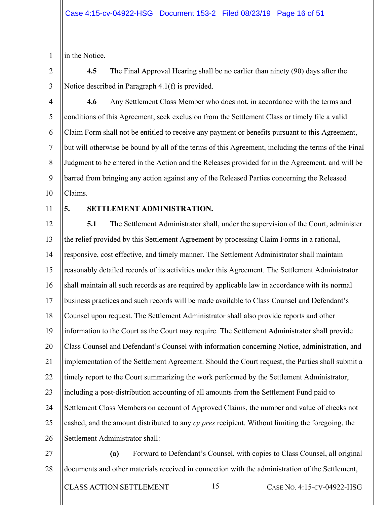1 in the Notice.

2 3 **4.5** The Final Approval Hearing shall be no earlier than ninety (90) days after the Notice described in Paragraph 4.1(f) is provided.

4 5 6 7 8 9 10 **4.6** Any Settlement Class Member who does not, in accordance with the terms and conditions of this Agreement, seek exclusion from the Settlement Class or timely file a valid Claim Form shall not be entitled to receive any payment or benefits pursuant to this Agreement, but will otherwise be bound by all of the terms of this Agreement, including the terms of the Final Judgment to be entered in the Action and the Releases provided for in the Agreement, and will be barred from bringing any action against any of the Released Parties concerning the Released Claims.

11

#### **5. SETTLEMENT ADMINISTRATION.**

12 13 14 15 16 17 18 19 20 21 22 23 24 25 26 **5.1** The Settlement Administrator shall, under the supervision of the Court, administer the relief provided by this Settlement Agreement by processing Claim Forms in a rational, responsive, cost effective, and timely manner. The Settlement Administrator shall maintain reasonably detailed records of its activities under this Agreement. The Settlement Administrator shall maintain all such records as are required by applicable law in accordance with its normal business practices and such records will be made available to Class Counsel and Defendant's Counsel upon request. The Settlement Administrator shall also provide reports and other information to the Court as the Court may require. The Settlement Administrator shall provide Class Counsel and Defendant's Counsel with information concerning Notice, administration, and implementation of the Settlement Agreement. Should the Court request, the Parties shall submit a timely report to the Court summarizing the work performed by the Settlement Administrator, including a post-distribution accounting of all amounts from the Settlement Fund paid to Settlement Class Members on account of Approved Claims, the number and value of checks not cashed, and the amount distributed to any *cy pres* recipient. Without limiting the foregoing, the Settlement Administrator shall:

27 28 **(a)** Forward to Defendant's Counsel, with copies to Class Counsel, all original documents and other materials received in connection with the administration of the Settlement,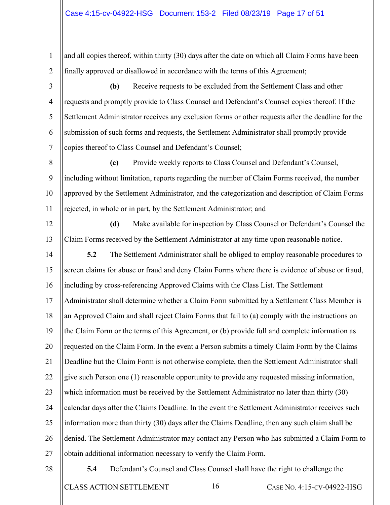- 1 2 and all copies thereof, within thirty (30) days after the date on which all Claim Forms have been finally approved or disallowed in accordance with the terms of this Agreement;
- 3 4 5 6 7 **(b)** Receive requests to be excluded from the Settlement Class and other requests and promptly provide to Class Counsel and Defendant's Counsel copies thereof. If the Settlement Administrator receives any exclusion forms or other requests after the deadline for the submission of such forms and requests, the Settlement Administrator shall promptly provide copies thereof to Class Counsel and Defendant's Counsel;
- 8 9 10 11 **(c)** Provide weekly reports to Class Counsel and Defendant's Counsel, including without limitation, reports regarding the number of Claim Forms received, the number approved by the Settlement Administrator, and the categorization and description of Claim Forms rejected, in whole or in part, by the Settlement Administrator; and
- 12 13 **(d)** Make available for inspection by Class Counsel or Defendant's Counsel the Claim Forms received by the Settlement Administrator at any time upon reasonable notice.
- 14 15 16 17 18 19 20 21 22 23 24 25 26 27 **5.2** The Settlement Administrator shall be obliged to employ reasonable procedures to screen claims for abuse or fraud and deny Claim Forms where there is evidence of abuse or fraud, including by cross-referencing Approved Claims with the Class List. The Settlement Administrator shall determine whether a Claim Form submitted by a Settlement Class Member is an Approved Claim and shall reject Claim Forms that fail to (a) comply with the instructions on the Claim Form or the terms of this Agreement, or (b) provide full and complete information as requested on the Claim Form. In the event a Person submits a timely Claim Form by the Claims Deadline but the Claim Form is not otherwise complete, then the Settlement Administrator shall give such Person one (1) reasonable opportunity to provide any requested missing information, which information must be received by the Settlement Administrator no later than thirty (30) calendar days after the Claims Deadline. In the event the Settlement Administrator receives such information more than thirty (30) days after the Claims Deadline, then any such claim shall be denied. The Settlement Administrator may contact any Person who has submitted a Claim Form to obtain additional information necessary to verify the Claim Form.
- 28
- **5.4** Defendant's Counsel and Class Counsel shall have the right to challenge the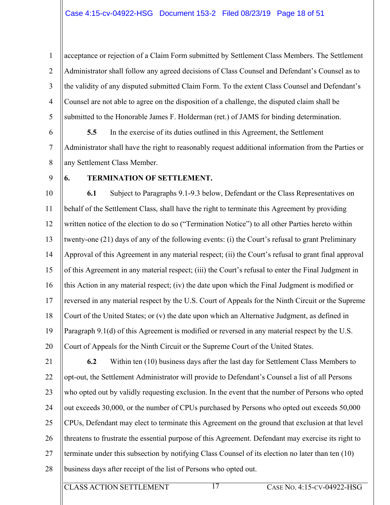1 2 3 4 5 acceptance or rejection of a Claim Form submitted by Settlement Class Members. The Settlement Administrator shall follow any agreed decisions of Class Counsel and Defendant's Counsel as to the validity of any disputed submitted Claim Form. To the extent Class Counsel and Defendant's Counsel are not able to agree on the disposition of a challenge, the disputed claim shall be submitted to the Honorable James F. Holderman (ret.) of JAMS for binding determination.

6 7 8 **5.5** In the exercise of its duties outlined in this Agreement, the Settlement Administrator shall have the right to reasonably request additional information from the Parties or any Settlement Class Member.

9

#### **6. TERMINATION OF SETTLEMENT.**

10 11 12 13 14 15 16 17 18 19 20 **6.1** Subject to Paragraphs 9.1-9.3 below, Defendant or the Class Representatives on behalf of the Settlement Class, shall have the right to terminate this Agreement by providing written notice of the election to do so ("Termination Notice") to all other Parties hereto within twenty-one (21) days of any of the following events: (i) the Court's refusal to grant Preliminary Approval of this Agreement in any material respect; (ii) the Court's refusal to grant final approval of this Agreement in any material respect; (iii) the Court's refusal to enter the Final Judgment in this Action in any material respect; (iv) the date upon which the Final Judgment is modified or reversed in any material respect by the U.S. Court of Appeals for the Ninth Circuit or the Supreme Court of the United States; or (v) the date upon which an Alternative Judgment, as defined in Paragraph 9.1(d) of this Agreement is modified or reversed in any material respect by the U.S. Court of Appeals for the Ninth Circuit or the Supreme Court of the United States.

21 22 23 24 25 26 27 28 **6.2** Within ten (10) business days after the last day for Settlement Class Members to opt-out, the Settlement Administrator will provide to Defendant's Counsel a list of all Persons who opted out by validly requesting exclusion. In the event that the number of Persons who opted out exceeds 30,000, or the number of CPUs purchased by Persons who opted out exceeds 50,000 CPUs, Defendant may elect to terminate this Agreement on the ground that exclusion at that level threatens to frustrate the essential purpose of this Agreement. Defendant may exercise its right to terminate under this subsection by notifying Class Counsel of its election no later than ten (10) business days after receipt of the list of Persons who opted out.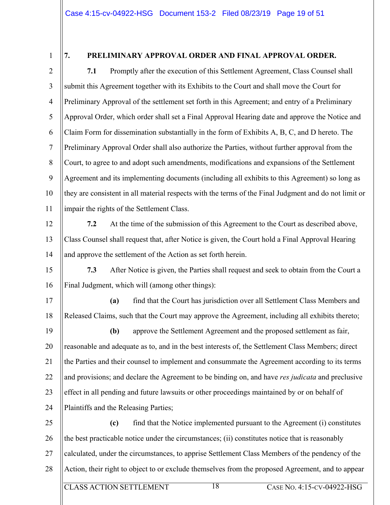1

#### **7. PRELIMINARY APPROVAL ORDER AND FINAL APPROVAL ORDER.**

2 3 4 5 6 7 8 9 10 11 **7.1** Promptly after the execution of this Settlement Agreement, Class Counsel shall submit this Agreement together with its Exhibits to the Court and shall move the Court for Preliminary Approval of the settlement set forth in this Agreement; and entry of a Preliminary Approval Order, which order shall set a Final Approval Hearing date and approve the Notice and Claim Form for dissemination substantially in the form of Exhibits A, B, C, and D hereto. The Preliminary Approval Order shall also authorize the Parties, without further approval from the Court, to agree to and adopt such amendments, modifications and expansions of the Settlement Agreement and its implementing documents (including all exhibits to this Agreement) so long as they are consistent in all material respects with the terms of the Final Judgment and do not limit or impair the rights of the Settlement Class.

12

13

14

**7.2** At the time of the submission of this Agreement to the Court as described above, Class Counsel shall request that, after Notice is given, the Court hold a Final Approval Hearing and approve the settlement of the Action as set forth herein.

15 16 **7.3** After Notice is given, the Parties shall request and seek to obtain from the Court a Final Judgment, which will (among other things):

17 18 **(a)** find that the Court has jurisdiction over all Settlement Class Members and Released Claims, such that the Court may approve the Agreement, including all exhibits thereto;

19 20 21 22 23 24 **(b)** approve the Settlement Agreement and the proposed settlement as fair, reasonable and adequate as to, and in the best interests of, the Settlement Class Members; direct the Parties and their counsel to implement and consummate the Agreement according to its terms and provisions; and declare the Agreement to be binding on, and have *res judicata* and preclusive effect in all pending and future lawsuits or other proceedings maintained by or on behalf of Plaintiffs and the Releasing Parties;

25 26 27 28 **(c)** find that the Notice implemented pursuant to the Agreement (i) constitutes the best practicable notice under the circumstances; (ii) constitutes notice that is reasonably calculated, under the circumstances, to apprise Settlement Class Members of the pendency of the Action, their right to object to or exclude themselves from the proposed Agreement, and to appear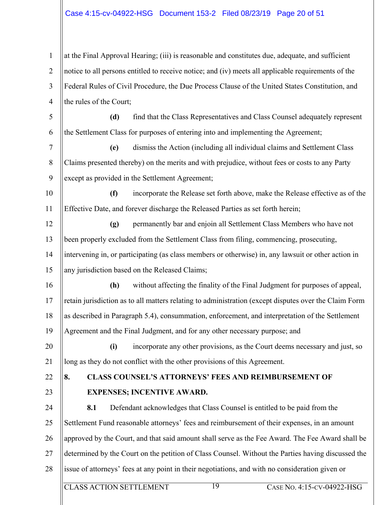1 2 3 4 5 6 7 8 9 at the Final Approval Hearing; (iii) is reasonable and constitutes due, adequate, and sufficient notice to all persons entitled to receive notice; and (iv) meets all applicable requirements of the Federal Rules of Civil Procedure, the Due Process Clause of the United States Constitution, and the rules of the Court; **(d)** find that the Class Representatives and Class Counsel adequately represent the Settlement Class for purposes of entering into and implementing the Agreement; **(e)** dismiss the Action (including all individual claims and Settlement Class Claims presented thereby) on the merits and with prejudice, without fees or costs to any Party except as provided in the Settlement Agreement;

10 11 **(f)** incorporate the Release set forth above, make the Release effective as of the Effective Date, and forever discharge the Released Parties as set forth herein;

12 13 14 **(g)** permanently bar and enjoin all Settlement Class Members who have not been properly excluded from the Settlement Class from filing, commencing, prosecuting, intervening in, or participating (as class members or otherwise) in, any lawsuit or other action in

15 any jurisdiction based on the Released Claims;

16 17 18 19 **(h)** without affecting the finality of the Final Judgment for purposes of appeal, retain jurisdiction as to all matters relating to administration (except disputes over the Claim Form as described in Paragraph 5.4), consummation, enforcement, and interpretation of the Settlement Agreement and the Final Judgment, and for any other necessary purpose; and

20 21 **(i)** incorporate any other provisions, as the Court deems necessary and just, so long as they do not conflict with the other provisions of this Agreement.

- 22
- 23

# **8. CLASS COUNSEL'S ATTORNEYS' FEES AND REIMBURSEMENT OF EXPENSES; INCENTIVE AWARD.**

24 25 26 27 28 **8.1** Defendant acknowledges that Class Counsel is entitled to be paid from the Settlement Fund reasonable attorneys' fees and reimbursement of their expenses, in an amount approved by the Court, and that said amount shall serve as the Fee Award. The Fee Award shall be determined by the Court on the petition of Class Counsel. Without the Parties having discussed the issue of attorneys' fees at any point in their negotiations, and with no consideration given or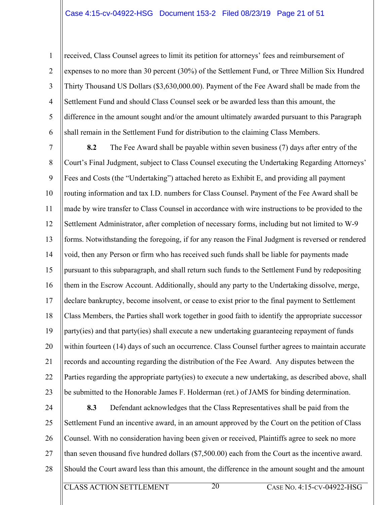1 2 3 4 5 6 received, Class Counsel agrees to limit its petition for attorneys' fees and reimbursement of expenses to no more than 30 percent (30%) of the Settlement Fund, or Three Million Six Hundred Thirty Thousand US Dollars (\$3,630,000.00). Payment of the Fee Award shall be made from the Settlement Fund and should Class Counsel seek or be awarded less than this amount, the difference in the amount sought and/or the amount ultimately awarded pursuant to this Paragraph shall remain in the Settlement Fund for distribution to the claiming Class Members.

7 8 9 10 11 12 13 14 15 16 17 18 19 20 21 22 23 **8.2** The Fee Award shall be payable within seven business (7) days after entry of the Court's Final Judgment, subject to Class Counsel executing the Undertaking Regarding Attorneys' Fees and Costs (the "Undertaking") attached hereto as Exhibit E, and providing all payment routing information and tax I.D. numbers for Class Counsel. Payment of the Fee Award shall be made by wire transfer to Class Counsel in accordance with wire instructions to be provided to the Settlement Administrator, after completion of necessary forms, including but not limited to W-9 forms. Notwithstanding the foregoing, if for any reason the Final Judgment is reversed or rendered void, then any Person or firm who has received such funds shall be liable for payments made pursuant to this subparagraph, and shall return such funds to the Settlement Fund by redepositing them in the Escrow Account. Additionally, should any party to the Undertaking dissolve, merge, declare bankruptcy, become insolvent, or cease to exist prior to the final payment to Settlement Class Members, the Parties shall work together in good faith to identify the appropriate successor party(ies) and that party(ies) shall execute a new undertaking guaranteeing repayment of funds within fourteen (14) days of such an occurrence. Class Counsel further agrees to maintain accurate records and accounting regarding the distribution of the Fee Award. Any disputes between the Parties regarding the appropriate party(ies) to execute a new undertaking, as described above, shall be submitted to the Honorable James F. Holderman (ret.) of JAMS for binding determination.

24 25 26 27 28 **8.3** Defendant acknowledges that the Class Representatives shall be paid from the Settlement Fund an incentive award, in an amount approved by the Court on the petition of Class Counsel. With no consideration having been given or received, Plaintiffs agree to seek no more than seven thousand five hundred dollars (\$7,500.00) each from the Court as the incentive award. Should the Court award less than this amount, the difference in the amount sought and the amount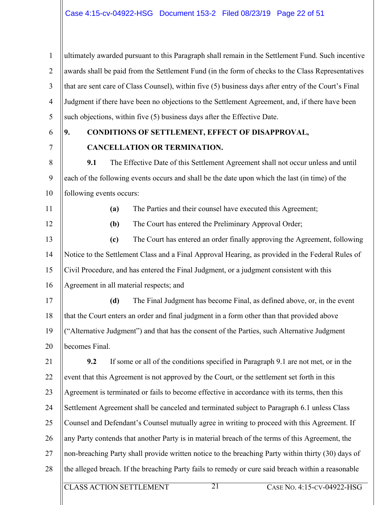1 2 3 4 5 ultimately awarded pursuant to this Paragraph shall remain in the Settlement Fund. Such incentive awards shall be paid from the Settlement Fund (in the form of checks to the Class Representatives that are sent care of Class Counsel), within five (5) business days after entry of the Court's Final Judgment if there have been no objections to the Settlement Agreement, and, if there have been such objections, within five (5) business days after the Effective Date.

6

7

# **9. CONDITIONS OF SETTLEMENT, EFFECT OF DISAPPROVAL,**

### **CANCELLATION OR TERMINATION.**

8 9 10 **9.1** The Effective Date of this Settlement Agreement shall not occur unless and until each of the following events occurs and shall be the date upon which the last (in time) of the following events occurs:

11

**(a)** The Parties and their counsel have executed this Agreement;

12

**(b)** The Court has entered the Preliminary Approval Order;

13 14 15 16 **(c)** The Court has entered an order finally approving the Agreement, following Notice to the Settlement Class and a Final Approval Hearing, as provided in the Federal Rules of Civil Procedure, and has entered the Final Judgment, or a judgment consistent with this Agreement in all material respects; and

17 18 19 20 **(d)** The Final Judgment has become Final, as defined above, or, in the event that the Court enters an order and final judgment in a form other than that provided above ("Alternative Judgment") and that has the consent of the Parties, such Alternative Judgment becomes Final.

21 22 23 24 25 26 27 28 **9.2** If some or all of the conditions specified in Paragraph 9.1 are not met, or in the event that this Agreement is not approved by the Court, or the settlement set forth in this Agreement is terminated or fails to become effective in accordance with its terms, then this Settlement Agreement shall be canceled and terminated subject to Paragraph 6.1 unless Class Counsel and Defendant's Counsel mutually agree in writing to proceed with this Agreement. If any Party contends that another Party is in material breach of the terms of this Agreement, the non-breaching Party shall provide written notice to the breaching Party within thirty (30) days of the alleged breach. If the breaching Party fails to remedy or cure said breach within a reasonable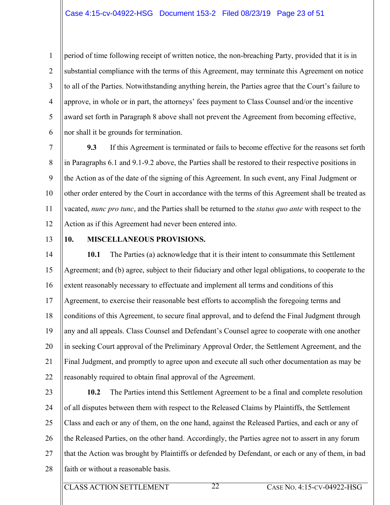1 2 3 4 5 6 period of time following receipt of written notice, the non-breaching Party, provided that it is in substantial compliance with the terms of this Agreement, may terminate this Agreement on notice to all of the Parties. Notwithstanding anything herein, the Parties agree that the Court's failure to approve, in whole or in part, the attorneys' fees payment to Class Counsel and/or the incentive award set forth in Paragraph 8 above shall not prevent the Agreement from becoming effective, nor shall it be grounds for termination.

7 8 9 10 11 12 **9.3** If this Agreement is terminated or fails to become effective for the reasons set forth in Paragraphs 6.1 and 9.1-9.2 above, the Parties shall be restored to their respective positions in the Action as of the date of the signing of this Agreement. In such event, any Final Judgment or other order entered by the Court in accordance with the terms of this Agreement shall be treated as vacated, *nunc pro tunc*, and the Parties shall be returned to the *status quo ante* with respect to the Action as if this Agreement had never been entered into.

13

#### **10. MISCELLANEOUS PROVISIONS.**

14 15 16 17 18 19 20 21 22 **10.1** The Parties (a) acknowledge that it is their intent to consummate this Settlement Agreement; and (b) agree, subject to their fiduciary and other legal obligations, to cooperate to the extent reasonably necessary to effectuate and implement all terms and conditions of this Agreement, to exercise their reasonable best efforts to accomplish the foregoing terms and conditions of this Agreement, to secure final approval, and to defend the Final Judgment through any and all appeals. Class Counsel and Defendant's Counsel agree to cooperate with one another in seeking Court approval of the Preliminary Approval Order, the Settlement Agreement, and the Final Judgment, and promptly to agree upon and execute all such other documentation as may be reasonably required to obtain final approval of the Agreement.

23 24 25 26 27 28 **10.2** The Parties intend this Settlement Agreement to be a final and complete resolution of all disputes between them with respect to the Released Claims by Plaintiffs, the Settlement Class and each or any of them, on the one hand, against the Released Parties, and each or any of the Released Parties, on the other hand. Accordingly, the Parties agree not to assert in any forum that the Action was brought by Plaintiffs or defended by Defendant, or each or any of them, in bad faith or without a reasonable basis.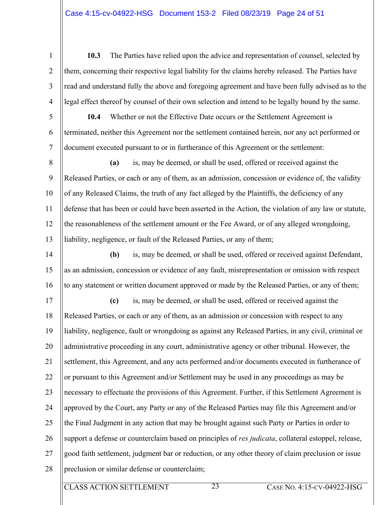1 2 3 4 **10.3** The Parties have relied upon the advice and representation of counsel, selected by them, concerning their respective legal liability for the claims hereby released. The Parties have read and understand fully the above and foregoing agreement and have been fully advised as to the legal effect thereof by counsel of their own selection and intend to be legally bound by the same.

5 6 7 **10.4** Whether or not the Effective Date occurs or the Settlement Agreement is terminated, neither this Agreement nor the settlement contained herein, nor any act performed or document executed pursuant to or in furtherance of this Agreement or the settlement:

8 9 10 11 12 13 **(a)** is, may be deemed, or shall be used, offered or received against the Released Parties, or each or any of them, as an admission, concession or evidence of, the validity of any Released Claims, the truth of any fact alleged by the Plaintiffs, the deficiency of any defense that has been or could have been asserted in the Action, the violation of any law or statute, the reasonableness of the settlement amount or the Fee Award, or of any alleged wrongdoing, liability, negligence, or fault of the Released Parties, or any of them;

14 15 16 **(b)** is, may be deemed, or shall be used, offered or received against Defendant, as an admission, concession or evidence of any fault, misrepresentation or omission with respect to any statement or written document approved or made by the Released Parties, or any of them;

17 18 19 20 21 22 23 24 25 26 27 28 **(c)** is, may be deemed, or shall be used, offered or received against the Released Parties, or each or any of them, as an admission or concession with respect to any liability, negligence, fault or wrongdoing as against any Released Parties, in any civil, criminal or administrative proceeding in any court, administrative agency or other tribunal. However, the settlement, this Agreement, and any acts performed and/or documents executed in furtherance of or pursuant to this Agreement and/or Settlement may be used in any proceedings as may be necessary to effectuate the provisions of this Agreement. Further, if this Settlement Agreement is approved by the Court, any Party or any of the Released Parties may file this Agreement and/or the Final Judgment in any action that may be brought against such Party or Parties in order to support a defense or counterclaim based on principles of *res judicata*, collateral estoppel, release, good faith settlement, judgment bar or reduction, or any other theory of claim preclusion or issue preclusion or similar defense or counterclaim;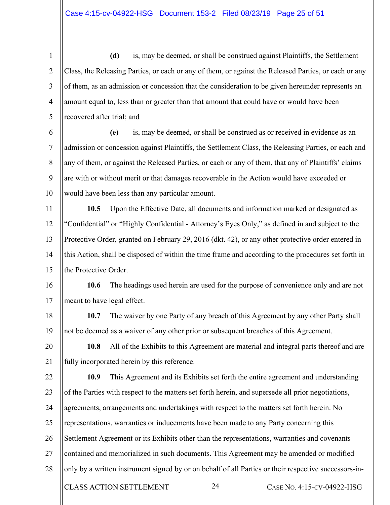1 2 3 4 5 6 7 8 9 10 11 12 13 14 15 16 17 18 19 20 21 22 23 24 25 26 27 28 **(d)** is, may be deemed, or shall be construed against Plaintiffs, the Settlement Class, the Releasing Parties, or each or any of them, or against the Released Parties, or each or any of them, as an admission or concession that the consideration to be given hereunder represents an amount equal to, less than or greater than that amount that could have or would have been recovered after trial; and **(e)** is, may be deemed, or shall be construed as or received in evidence as an admission or concession against Plaintiffs, the Settlement Class, the Releasing Parties, or each and any of them, or against the Released Parties, or each or any of them, that any of Plaintiffs' claims are with or without merit or that damages recoverable in the Action would have exceeded or would have been less than any particular amount. **10.5** Upon the Effective Date, all documents and information marked or designated as "Confidential" or "Highly Confidential - Attorney's Eyes Only," as defined in and subject to the Protective Order, granted on February 29, 2016 (dkt. 42), or any other protective order entered in this Action, shall be disposed of within the time frame and according to the procedures set forth in the Protective Order. **10.6** The headings used herein are used for the purpose of convenience only and are not meant to have legal effect. **10.7** The waiver by one Party of any breach of this Agreement by any other Party shall not be deemed as a waiver of any other prior or subsequent breaches of this Agreement.  **10.8** All of the Exhibits to this Agreement are material and integral parts thereof and are fully incorporated herein by this reference. **10.9** This Agreement and its Exhibits set forth the entire agreement and understanding of the Parties with respect to the matters set forth herein, and supersede all prior negotiations, agreements, arrangements and undertakings with respect to the matters set forth herein. No representations, warranties or inducements have been made to any Party concerning this Settlement Agreement or its Exhibits other than the representations, warranties and covenants contained and memorialized in such documents. This Agreement may be amended or modified only by a written instrument signed by or on behalf of all Parties or their respective successors-in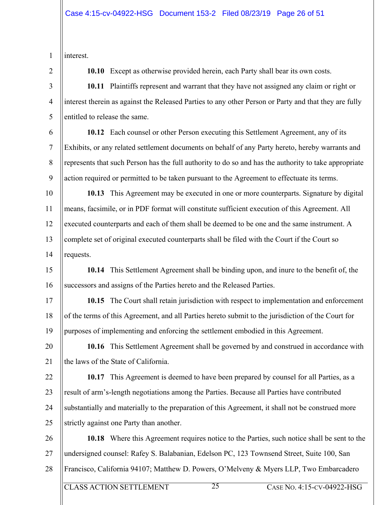1 interest.

2

**10.10** Except as otherwise provided herein, each Party shall bear its own costs.

3 4 5 **10.11** Plaintiffs represent and warrant that they have not assigned any claim or right or interest therein as against the Released Parties to any other Person or Party and that they are fully entitled to release the same.

6 7 8 9 **10.12** Each counsel or other Person executing this Settlement Agreement, any of its Exhibits, or any related settlement documents on behalf of any Party hereto, hereby warrants and represents that such Person has the full authority to do so and has the authority to take appropriate action required or permitted to be taken pursuant to the Agreement to effectuate its terms.

10 11 12 13 14 **10.13** This Agreement may be executed in one or more counterparts. Signature by digital means, facsimile, or in PDF format will constitute sufficient execution of this Agreement. All executed counterparts and each of them shall be deemed to be one and the same instrument. A complete set of original executed counterparts shall be filed with the Court if the Court so requests.

15 16 **10.14** This Settlement Agreement shall be binding upon, and inure to the benefit of, the successors and assigns of the Parties hereto and the Released Parties.

17 18 19 **10.15** The Court shall retain jurisdiction with respect to implementation and enforcement of the terms of this Agreement, and all Parties hereto submit to the jurisdiction of the Court for purposes of implementing and enforcing the settlement embodied in this Agreement.

20 21 **10.16** This Settlement Agreement shall be governed by and construed in accordance with the laws of the State of California.

22 23 24 25 **10.17** This Agreement is deemed to have been prepared by counsel for all Parties, as a result of arm's-length negotiations among the Parties. Because all Parties have contributed substantially and materially to the preparation of this Agreement, it shall not be construed more strictly against one Party than another.

26 27 28 **10.18** Where this Agreement requires notice to the Parties, such notice shall be sent to the undersigned counsel: Rafey S. Balabanian, Edelson PC, 123 Townsend Street, Suite 100, San Francisco, California 94107; Matthew D. Powers, O'Melveny & Myers LLP, Two Embarcadero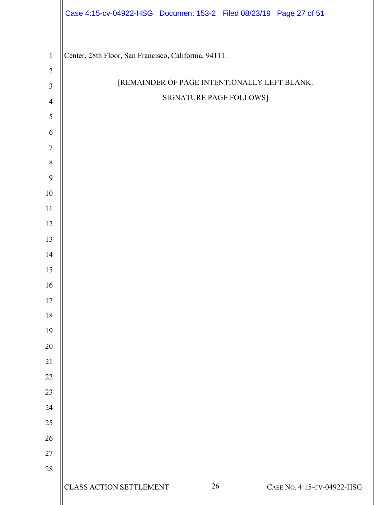|                              | Case 4:15-cv-04922-HSG Document 153-2 Filed 08/23/19 Page 27 of 51 |
|------------------------------|--------------------------------------------------------------------|
|                              |                                                                    |
| $\mathbf{1}$                 | Center, 28th Floor, San Francisco, California, 94111.              |
| $\sqrt{2}$<br>$\mathfrak{Z}$ | [REMAINDER OF PAGE INTENTIONALLY LEFT BLANK.                       |
| $\overline{4}$               | SIGNATURE PAGE FOLLOWS]                                            |
| $\sqrt{5}$                   |                                                                    |
| 6                            |                                                                    |
| $\tau$                       |                                                                    |
| $\, 8$                       |                                                                    |
| $\overline{9}$               |                                                                    |
| $10\,$                       |                                                                    |
| 11                           |                                                                    |
| 12                           |                                                                    |
| 13                           |                                                                    |
| 14                           |                                                                    |
| 15                           |                                                                    |
| 16                           |                                                                    |
| 17                           |                                                                    |
| $18\,$                       |                                                                    |
| 19                           |                                                                    |
| $20\,$                       |                                                                    |
| 21                           |                                                                    |
| $22\,$                       |                                                                    |
| 23<br>24                     |                                                                    |
| 25                           |                                                                    |
| $26\,$                       |                                                                    |
| $27\,$                       |                                                                    |
| $28\,$                       |                                                                    |
|                              | 26<br>CASE No. 4:15-CV-04922-HSG<br><b>CLASS ACTION SETTLEMENT</b> |
|                              |                                                                    |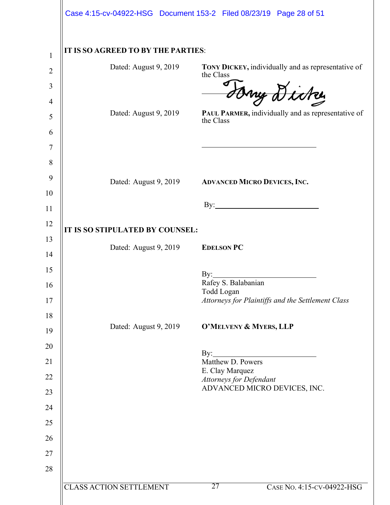|                | Case 4:15-cv-04922-HSG  Document 153-2  Filed 08/23/19  Page 28 of 51 |                                                    |
|----------------|-----------------------------------------------------------------------|----------------------------------------------------|
| $\mathbf{1}$   | IT IS SO AGREED TO BY THE PARTIES:                                    |                                                    |
| $\overline{2}$ | Dated: August 9, 2019<br>the Class                                    | TONY DICKEY, individually and as representative of |
| 3              |                                                                       |                                                    |
| 4              |                                                                       | Sony Dicke                                         |
| 5              | Dated: August 9, 2019<br>the Class                                    | PAUL PARMER, individually and as representative of |
| 6              |                                                                       |                                                    |
| 7              |                                                                       |                                                    |
| 8              |                                                                       |                                                    |
| 9              | Dated: August 9, 2019                                                 | ADVANCED MICRO DEVICES, INC.                       |
| 10             |                                                                       |                                                    |
| 11             |                                                                       |                                                    |
| 12             | IT IS SO STIPULATED BY COUNSEL:                                       |                                                    |
| 13             |                                                                       |                                                    |
| 14             | Dated: August 9, 2019                                                 | <b>EDELSON PC</b>                                  |
| 15             |                                                                       |                                                    |
| 16             |                                                                       | Rafey S. Balabanian<br>Todd Logan                  |
| 17             |                                                                       | Attorneys for Plaintiffs and the Settlement Class  |
| 18             |                                                                       |                                                    |
| 19             | Dated: August 9, 2019                                                 | O'MELVENY & MYERS, LLP                             |
| 20             | By:                                                                   |                                                    |
| 21             |                                                                       | Matthew D. Powers<br>E. Clay Marquez               |
| 22             |                                                                       | Attorneys for Defendant                            |
| 23             |                                                                       | ADVANCED MICRO DEVICES, INC.                       |
| 24             |                                                                       |                                                    |
| 25             |                                                                       |                                                    |
| 26             |                                                                       |                                                    |
| 27             |                                                                       |                                                    |
| 28             |                                                                       |                                                    |

 $\mathsf{l}$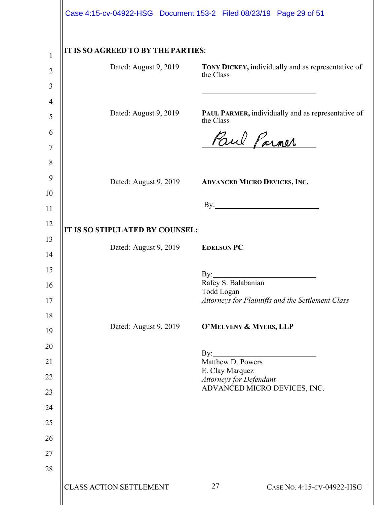|                | Case 4:15-cv-04922-HSG  Document 153-2  Filed 08/23/19  Page 29 of 51 |                                                                 |
|----------------|-----------------------------------------------------------------------|-----------------------------------------------------------------|
| $\mathbf{1}$   | IT IS SO AGREED TO BY THE PARTIES:                                    |                                                                 |
| $\overline{2}$ | Dated: August 9, 2019                                                 | TONY DICKEY, individually and as representative of              |
| 3              | the Class                                                             |                                                                 |
| 4              |                                                                       |                                                                 |
| 5              | Dated: August 9, 2019<br>the Class                                    | PAUL PARMER, individually and as representative of              |
| 6              |                                                                       |                                                                 |
| $\tau$         |                                                                       | Paul Parmer                                                     |
| 8              |                                                                       |                                                                 |
| 9              | Dated: August 9, 2019                                                 | ADVANCED MICRO DEVICES, INC.                                    |
| 10             |                                                                       |                                                                 |
| 11             |                                                                       |                                                                 |
| 12             |                                                                       |                                                                 |
| 13             | IT IS SO STIPULATED BY COUNSEL:                                       |                                                                 |
| 14             | Dated: August 9, 2019                                                 | <b>EDELSON PC</b>                                               |
| 15             |                                                                       | $\mathbf{By:}$                                                  |
| 16             |                                                                       | Rafey S. Balabanian                                             |
| 17             |                                                                       | Todd Logan<br>Attorneys for Plaintiffs and the Settlement Class |
| 18             |                                                                       |                                                                 |
| 19             | Dated: August 9, 2019                                                 | O'MELVENY & MYERS, LLP                                          |
| 20             |                                                                       |                                                                 |
| 21             | By:                                                                   | Matthew D. Powers                                               |
| 22             |                                                                       | E. Clay Marquez<br>Attorneys for Defendant                      |
| 23             |                                                                       | ADVANCED MICRO DEVICES, INC.                                    |
| 24             |                                                                       |                                                                 |
| 25             |                                                                       |                                                                 |
| 26             |                                                                       |                                                                 |
| 27             |                                                                       |                                                                 |
| 28             |                                                                       |                                                                 |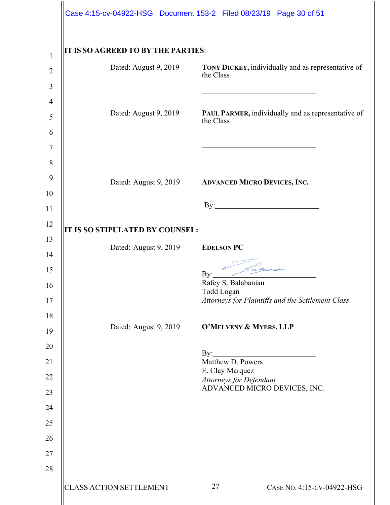|                                 | IT IS SO AGREED TO BY THE PARTIES: |                                                                        |
|---------------------------------|------------------------------------|------------------------------------------------------------------------|
|                                 | Dated: August 9, 2019              | TONY DICKEY, individually and as representative of<br>the Class        |
|                                 |                                    |                                                                        |
|                                 |                                    |                                                                        |
|                                 | Dated: August 9, 2019              | PAUL PARMER, individually and as representative of<br>the Class        |
|                                 |                                    |                                                                        |
|                                 |                                    |                                                                        |
|                                 | Dated: August 9, 2019              | <b>ADVANCED MICRO DEVICES, INC.</b>                                    |
|                                 |                                    |                                                                        |
|                                 |                                    |                                                                        |
| IT IS SO STIPULATED BY COUNSEL: |                                    |                                                                        |
|                                 | Dated: August 9, 2019              | <b>EDELSON PC</b>                                                      |
|                                 |                                    | Lan                                                                    |
|                                 |                                    | By:<br>Rafey S. Balabanian                                             |
|                                 |                                    | <b>Todd Logan</b><br>Attorneys for Plaintiffs and the Settlement Class |
|                                 |                                    |                                                                        |
|                                 | Dated: August 9, 2019              | O'MELVENY & MYERS, LLP                                                 |
|                                 |                                    | $\mathbf{By:}$                                                         |
|                                 |                                    | Matthew D. Powers<br>E. Clay Marquez                                   |
|                                 |                                    | Attorneys for Defendant<br>ADVANCED MICRO DEVICES, INC.                |
|                                 |                                    |                                                                        |
|                                 |                                    |                                                                        |
|                                 |                                    |                                                                        |
|                                 |                                    |                                                                        |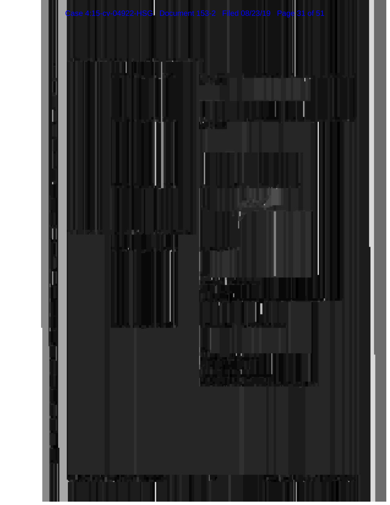